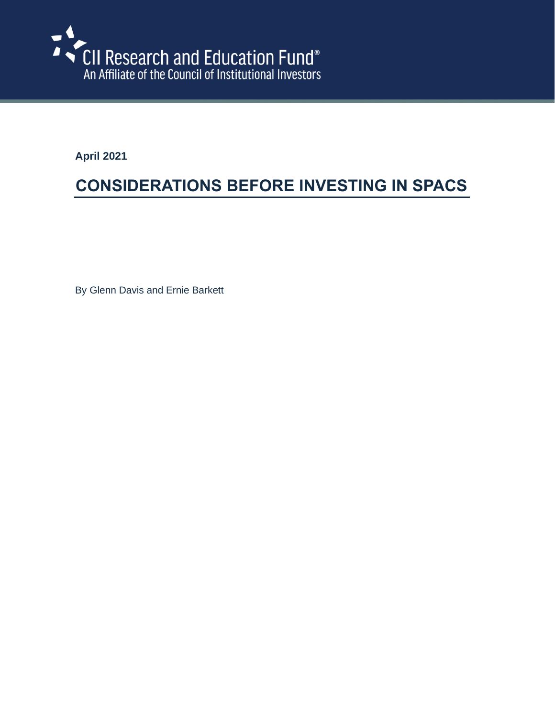

**April 2021**

# **CONSIDERATIONS BEFORE INVESTING IN SPACS**

By Glenn Davis and Ernie Barkett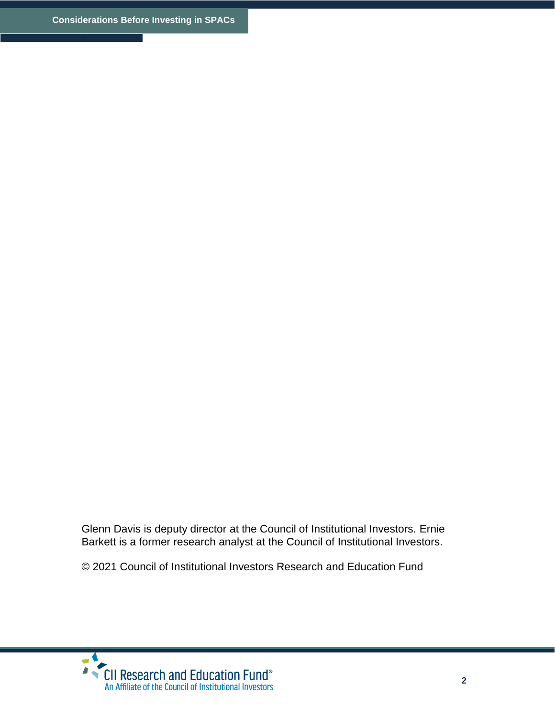Glenn Davis is deputy director at the Council of Institutional Investors. Ernie Barkett is a former research analyst at the Council of Institutional Investors.

© 2021 Council of Institutional Investors Research and Education Fund

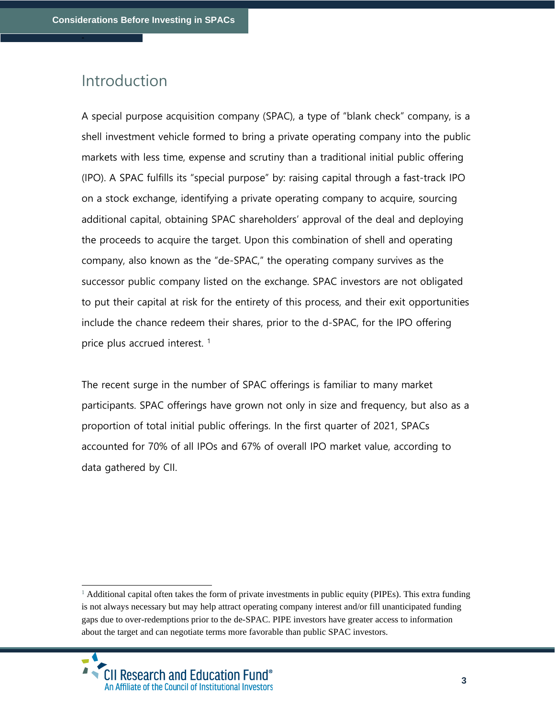### Introduction

-

A special purpose acquisition company (SPAC), a type of "blank check" company, is a shell investment vehicle formed to bring a private operating company into the public markets with less time, expense and scrutiny than a traditional initial public offering (IPO). A SPAC fulfills its "special purpose" by: raising capital through a fast-track IPO on a stock exchange, identifying a private operating company to acquire, sourcing additional capital, obtaining SPAC shareholders' approval of the deal and deploying the proceeds to acquire the target. Upon this combination of shell and operating company, also known as the "de-SPAC," the operating company survives as the successor public company listed on the exchange. SPAC investors are not obligated to put their capital at risk for the entirety of this process, and their exit opportunities include the chance redeem their shares, prior to the d-SPAC, for the IPO offering price plus accrued interest.<sup>1</sup>

The recent surge in the number of SPAC offerings is familiar to many market participants. SPAC offerings have grown not only in size and frequency, but also as a proportion of total initial public offerings. In the first quarter of 2021, SPACs accounted for 70% of all IPOs and 67% of overall IPO market value, according to data gathered by CII.

<sup>&</sup>lt;sup>1</sup> Additional capital often takes the form of private investments in public equity (PIPEs). This extra funding is not always necessary but may help attract operating company interest and/or fill unanticipated funding gaps due to over-redemptions prior to the de-SPAC. PIPE investors have greater access to information about the target and can negotiate terms more favorable than public SPAC investors.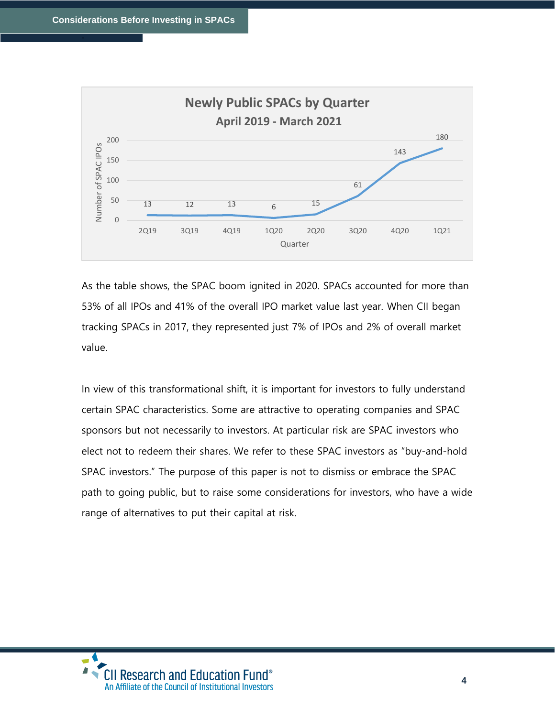

As the table shows, the SPAC boom ignited in 2020. SPACs accounted for more than 53% of all IPOs and 41% of the overall IPO market value last year. When CII began tracking SPACs in 2017, they represented just 7% of IPOs and 2% of overall market value.

In view of this transformational shift, it is important for investors to fully understand certain SPAC characteristics. Some are attractive to operating companies and SPAC sponsors but not necessarily to investors. At particular risk are SPAC investors who elect not to redeem their shares. We refer to these SPAC investors as "buy-and-hold SPAC investors." The purpose of this paper is not to dismiss or embrace the SPAC path to going public, but to raise some considerations for investors, who have a wide range of alternatives to put their capital at risk.

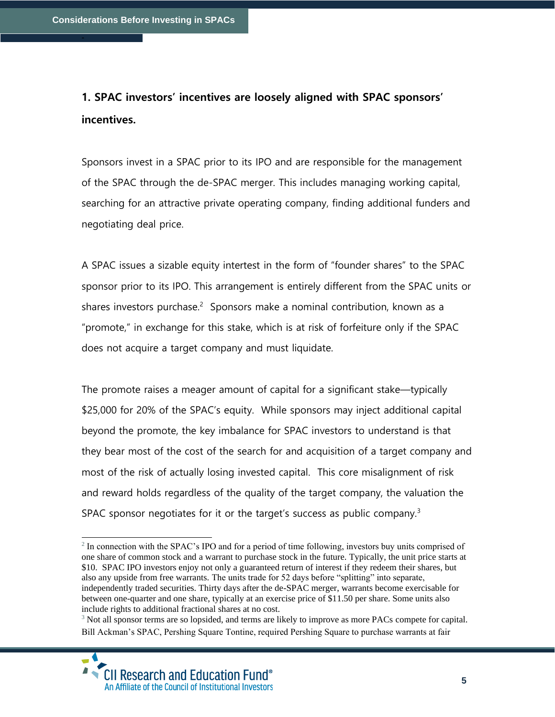## **1. SPAC investors' incentives are loosely aligned with SPAC sponsors' incentives.**

Sponsors invest in a SPAC prior to its IPO and are responsible for the management of the SPAC through the de-SPAC merger. This includes managing working capital, searching for an attractive private operating company, finding additional funders and negotiating deal price.

A SPAC issues a sizable equity intertest in the form of "founder shares" to the SPAC sponsor prior to its IPO. This arrangement is entirely different from the SPAC units or shares investors purchase.<sup>2</sup> Sponsors make a nominal contribution, known as a "promote," in exchange for this stake, which is at risk of forfeiture only if the SPAC does not acquire a target company and must liquidate.

The promote raises a meager amount of capital for a significant stake—typically \$25,000 for 20% of the SPAC's equity. While sponsors may inject additional capital beyond the promote, the key imbalance for SPAC investors to understand is that they bear most of the cost of the search for and acquisition of a target company and most of the risk of actually losing invested capital. This core misalignment of risk and reward holds regardless of the quality of the target company, the valuation the SPAC sponsor negotiates for it or the target's success as public company.<sup>3</sup>

<sup>&</sup>lt;sup>2</sup> In connection with the SPAC's IPO and for a period of time following, investors buy units comprised of one share of common stock and a warrant to purchase stock in the future. Typically, the unit price starts at \$10. SPAC IPO investors enjoy not only a guaranteed return of interest if they redeem their shares, but also any upside from free warrants. The units trade for 52 days before "splitting" into separate, independently traded securities. Thirty days after the de-SPAC merger, warrants become exercisable for between one-quarter and one share, typically at an exercise price of \$11.50 per share. Some units also include rights to additional fractional shares at no cost.

<sup>&</sup>lt;sup>3</sup> Not all sponsor terms are so lopsided, and terms are likely to improve as more PACs compete for capital. Bill Ackman's SPAC, Pershing Square Tontine, required Pershing Square to purchase warrants at fair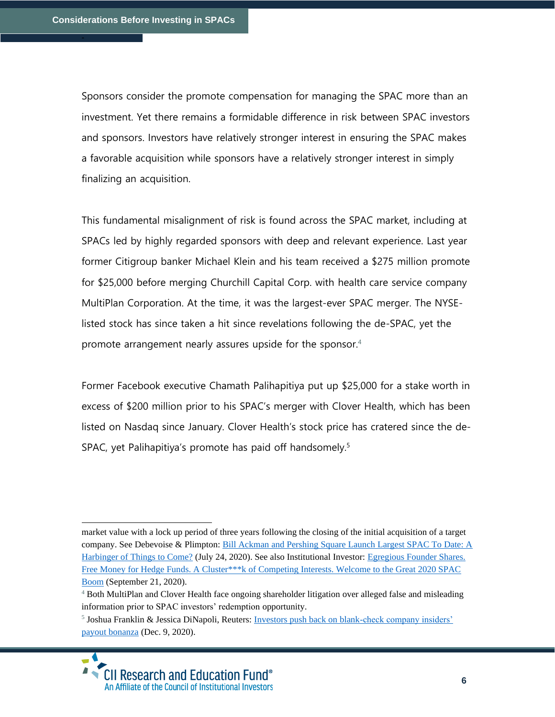Sponsors consider the promote compensation for managing the SPAC more than an investment. Yet there remains a formidable difference in risk between SPAC investors and sponsors. Investors have relatively stronger interest in ensuring the SPAC makes a favorable acquisition while sponsors have a relatively stronger interest in simply finalizing an acquisition.

This fundamental misalignment of risk is found across the SPAC market, including at SPACs led by highly regarded sponsors with deep and relevant experience. Last year former Citigroup banker Michael Klein and his team received a \$275 million promote for \$25,000 before merging Churchill Capital Corp. with health care service company MultiPlan Corporation. At the time, it was the largest-ever SPAC merger. The NYSElisted stock has since taken a hit since revelations following the de-SPAC, yet the promote arrangement nearly assures upside for the sponsor.<sup>4</sup>

Former Facebook executive Chamath Palihapitiya put up \$25,000 for a stake worth in excess of \$200 million prior to his SPAC's merger with Clover Health, which has been listed on Nasdaq since January. Clover Health's stock price has cratered since the de-SPAC, yet Palihapitiya's promote has paid off handsomely.<sup>5</sup>

<sup>&</sup>lt;sup>5</sup> Joshua Franklin & Jessica DiNapoli, Reuters: Investors push back on blank-check company insiders' [payout bonanza](https://www.reuters.com/article/spac-compensation-idCNL1N2IP2GR) (Dec. 9, 2020).



market value with a lock up period of three years following the closing of the initial acquisition of a target company. See Debevoise & Plimpton[: Bill Ackman and Pershing Square Launch Largest SPAC To Date: A](https://www.debevoise.com/insights/publications/2020/07/bill-ackman-and-pershing-square-launch-largest)  [Harbinger of Things to Come?](https://www.debevoise.com/insights/publications/2020/07/bill-ackman-and-pershing-square-launch-largest) (July 24, 2020). See also Institutional Investor: [Egregious Founder Shares.](https://www.institutionalinvestor.com/article/b1ngx7vttq33kh/Egregious-Founder-Shares-Free-Money-for-Hedge-Funds-A-Cluster-k-of-Competing-Interests-Welcome-to-the-Great-2020-SPAC-Boom)  Free Money for Hedge Funds. A Cluster\*\*\* k of Competing Interests. Welcome to the Great 2020 SPAC [Boom](https://www.institutionalinvestor.com/article/b1ngx7vttq33kh/Egregious-Founder-Shares-Free-Money-for-Hedge-Funds-A-Cluster-k-of-Competing-Interests-Welcome-to-the-Great-2020-SPAC-Boom) (September 21, 2020).

<sup>&</sup>lt;sup>4</sup> Both MultiPlan and Clover Health face ongoing shareholder litigation over alleged false and misleading information prior to SPAC investors' redemption opportunity.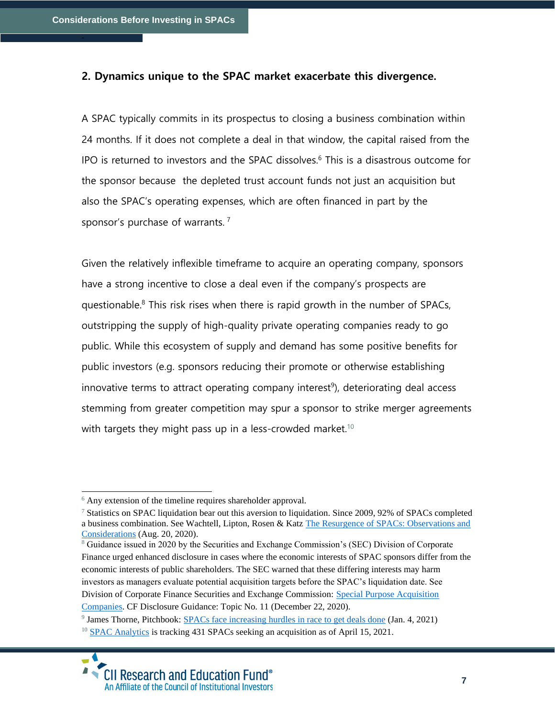#### **2. Dynamics unique to the SPAC market exacerbate this divergence.**

A SPAC typically commits in its prospectus to closing a business combination within 24 months. If it does not complete a deal in that window, the capital raised from the IPO is returned to investors and the SPAC dissolves.<sup>6</sup> This is a disastrous outcome for the sponsor because the depleted trust account funds not just an acquisition but also the SPAC's operating expenses, which are often financed in part by the sponsor's purchase of warrants.<sup>7</sup>

Given the relatively inflexible timeframe to acquire an operating company, sponsors have a strong incentive to close a deal even if the company's prospects are questionable. <sup>8</sup> This risk rises when there is rapid growth in the number of SPACs, outstripping the supply of high-quality private operating companies ready to go public. While this ecosystem of supply and demand has some positive benefits for public investors (e.g. sponsors reducing their promote or otherwise establishing innovative terms to attract operating company interest<sup>9</sup>), deteriorating deal access stemming from greater competition may spur a sponsor to strike merger agreements with targets they might pass up in a less-crowded market.<sup>10</sup>

 $6$  Any extension of the timeline requires shareholder approval.

<sup>&</sup>lt;sup>7</sup> Statistics on SPAC liquidation bear out this aversion to liquidation. Since 2009, 92% of SPACs completed a business combination. See Wachtell, Lipton, Rosen & Katz [The Resurgence of SPACs: Observations and](https://www.wlrk.com/webdocs/wlrknew/ClientMemos/WLRK/WLRK.27066.20.pdf)  [Considerations](https://www.wlrk.com/webdocs/wlrknew/ClientMemos/WLRK/WLRK.27066.20.pdf) (Aug. 20, 2020).

<sup>8</sup> Guidance issued in 2020 by the Securities and Exchange Commission's (SEC) Division of Corporate Finance urged enhanced disclosure in cases where the economic interests of SPAC sponsors differ from the economic interests of public shareholders. The SEC warned that these differing interests may harm investors as managers evaluate potential acquisition targets before the SPAC's liquidation date. See Division of Corporate Finance Securities and Exchange Commission: [Special Purpose Acquisition](https://www.sec.gov/corpfin/disclosure-special-purpose-acquisition-companies)  [Companies.](https://www.sec.gov/corpfin/disclosure-special-purpose-acquisition-companies) CF Disclosure Guidance: Topic No. 11 (December 22, 2020).

<sup>&</sup>lt;sup>9</sup> James Thorne, Pitchbook: [SPACs face increasing hurdles in race to get deals done](https://pitchbook.com/news/articles/spac-market-outlook-2021) (Jan. 4, 2021) <sup>10</sup> [SPAC Analytics](https://spacanalytics.com/) is tracking 431 SPACs seeking an acquisition as of April 15, 2021.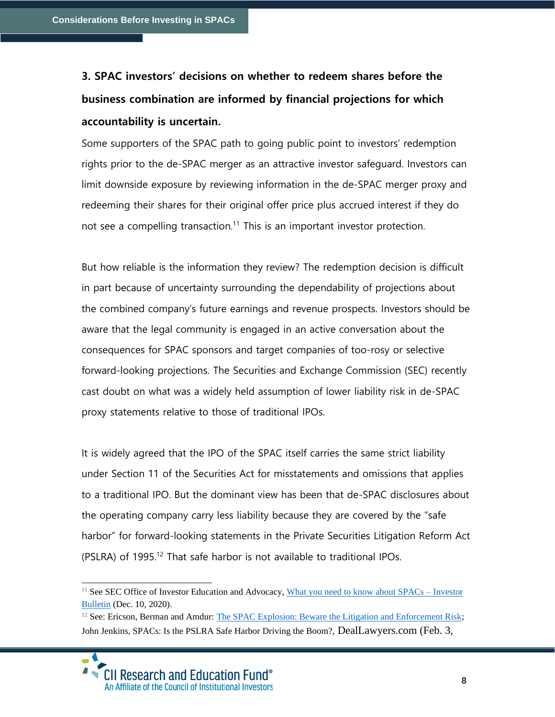## **3. SPAC investors' decisions on whether to redeem shares before the business combination are informed by financial projections for which accountability is uncertain.**

Some supporters of the SPAC path to going public point to investors' redemption rights prior to the de-SPAC merger as an attractive investor safeguard. Investors can limit downside exposure by reviewing information in the de-SPAC merger proxy and redeeming their shares for their original offer price plus accrued interest if they do not see a compelling transaction.<sup>11</sup> This is an important investor protection.

But how reliable is the information they review? The redemption decision is difficult in part because of uncertainty surrounding the dependability of projections about the combined company's future earnings and revenue prospects. Investors should be aware that the legal community is engaged in an active conversation about the consequences for SPAC sponsors and target companies of too-rosy or selective forward-looking projections. The Securities and Exchange Commission (SEC) recently cast doubt on what was a widely held assumption of lower liability risk in de-SPAC proxy statements relative to those of traditional IPOs.

It is widely agreed that the IPO of the SPAC itself carries the same strict liability under Section 11 of the Securities Act for misstatements and omissions that applies to a traditional IPO. But the dominant view has been that de-SPAC disclosures about the operating company carry less liability because they are covered by the "safe harbor" for forward-looking statements in the Private Securities Litigation Reform Act (PSLRA) of 1995.<sup>12</sup> That safe harbor is not available to traditional IPOs.

<sup>&</sup>lt;sup>11</sup> See SEC Office of Investor Education and Advocacy, [What you need to know about SPACs –](https://www.sec.gov/oiea/investor-alerts-and-bulletins/what-you-need-know-about-spacs-investor-bulletin) Investor [Bulletin](https://www.sec.gov/oiea/investor-alerts-and-bulletins/what-you-need-know-about-spacs-investor-bulletin) (Dec. 10, 2020).

<sup>&</sup>lt;sup>12</sup> See: Ericson, Berman and Amdur: [The SPAC Explosion: Beware the Litigation and Enforcement Risk;](https://corpgov.law.harvard.edu/2021/01/14/the-spac-explosion-beware-the-litigation-and-enforcement-risk/) John Jenkins, SPACs: Is the PSLRA Safe Harbor Driving the Boom?, DealLawyers.com (Feb. 3,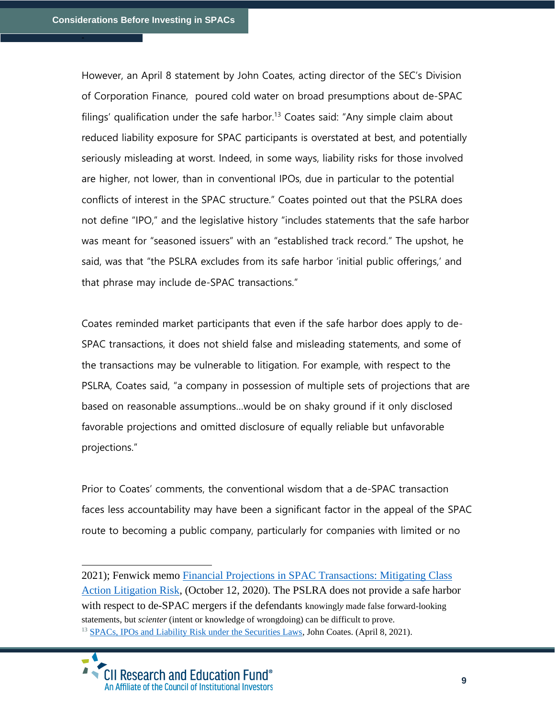However, an April 8 statement by John Coates, acting director of the SEC's Division of Corporation Finance, poured cold water on broad presumptions about de-SPAC filings' qualification under the safe harbor.<sup>13</sup> Coates said: "Any simple claim about reduced liability exposure for SPAC participants is overstated at best, and potentially seriously misleading at worst. Indeed, in some ways, liability risks for those involved are higher, not lower, than in conventional IPOs, due in particular to the potential conflicts of interest in the SPAC structure." Coates pointed out that the PSLRA does not define "IPO," and the legislative history "includes statements that the safe harbor was meant for "seasoned issuers" with an "established track record." The upshot, he said, was that "the PSLRA excludes from its safe harbor 'initial public offerings,' and that phrase may include de-SPAC transactions."

Coates reminded market participants that even if the safe harbor does apply to de-SPAC transactions, it does not shield false and misleading statements, and some of the transactions may be vulnerable to litigation. For example, with respect to the PSLRA, Coates said, "a company in possession of multiple sets of projections that are based on reasonable assumptions…would be on shaky ground if it only disclosed favorable projections and omitted disclosure of equally reliable but unfavorable projections."

Prior to Coates' comments, the conventional wisdom that a de-SPAC transaction faces less accountability may have been a significant factor in the appeal of the SPAC route to becoming a public company, particularly for companies with limited or no

<sup>2021);</sup> Fenwick memo [Financial Projections in SPAC Transactions: Mitigating Class](https://www.fenwick.com/insights/publications/financial-projections-in-spac-transactions-mitigating-class-action-litigation-risk)  [Action Litigation Risk,](https://www.fenwick.com/insights/publications/financial-projections-in-spac-transactions-mitigating-class-action-litigation-risk) (October 12, 2020). The PSLRA does not provide a safe harbor with respect to de-SPAC mergers if the defendants knowingl*y* made false forward-looking statements, but *scienter* (intent or knowledge of wrongdoing) can be difficult to prove. <sup>13</sup> [SPACs, IPOs and Liability Risk under the Securities Laws,](https://www.sec.gov/news/public-statement/spacs-ipos-liability-risk-under-securities-laws?utm_medium=email&utm_source=govdelivery) John Coates. (April 8, 2021).

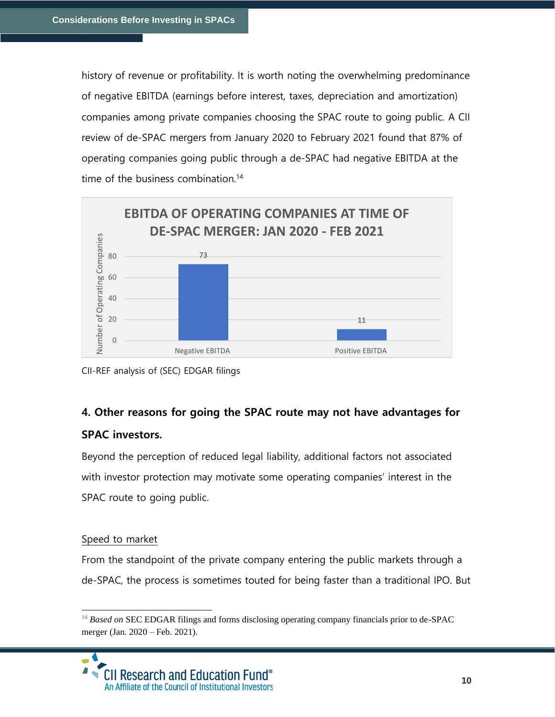history of revenue or profitability. It is worth noting the overwhelming predominance of negative EBITDA (earnings before interest, taxes, depreciation and amortization) companies among private companies choosing the SPAC route to going public. A CII review of de-SPAC mergers from January 2020 to February 2021 found that 87% of operating companies going public through a de-SPAC had negative EBITDA at the time of the business combination.<sup>14</sup>



CII-REF analysis of (SEC) EDGAR filings

### **4. Other reasons for going the SPAC route may not have advantages for**

#### **SPAC investors.**

Beyond the perception of reduced legal liability, additional factors not associated with investor protection may motivate some operating companies' interest in the SPAC route to going public.

#### Speed to market

From the standpoint of the private company entering the public markets through a de-SPAC, the process is sometimes touted for being faster than a traditional IPO. But

<sup>&</sup>lt;sup>14</sup> Based on SEC EDGAR filings and forms disclosing operating company financials prior to de-SPAC merger (Jan. 2020 – Feb. 2021).

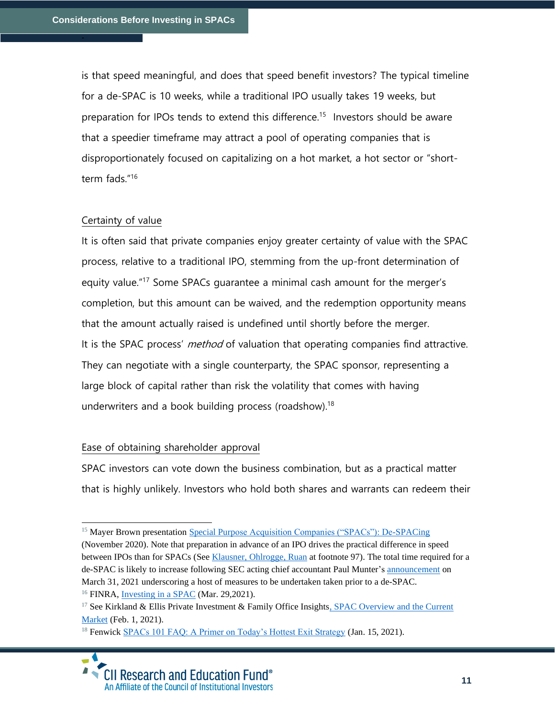is that speed meaningful, and does that speed benefit investors? The typical timeline for a de-SPAC is 10 weeks, while a traditional IPO usually takes 19 weeks, but preparation for IPOs tends to extend this difference.<sup>15</sup> Investors should be aware that a speedier timeframe may attract a pool of operating companies that is disproportionately focused on capitalizing on a hot market, a hot sector or "shortterm fads."<sup>16</sup>

#### Certainty of value

It is often said that private companies enjoy greater certainty of value with the SPAC process, relative to a traditional IPO, stemming from the up-front determination of equity value."<sup>17</sup> Some SPACs guarantee a minimal cash amount for the merger's completion, but this amount can be waived, and the redemption opportunity means that the amount actually raised is undefined until shortly before the merger. It is the SPAC process' *method* of valuation that operating companies find attractive. They can negotiate with a single counterparty, the SPAC sponsor, representing a large block of capital rather than risk the volatility that comes with having underwriters and a book building process (roadshow).<sup>18</sup>

#### Ease of obtaining shareholder approval

SPAC investors can vote down the business combination, but as a practical matter that is highly unlikely. Investors who hold both shares and warrants can redeem their

<sup>&</sup>lt;sup>15</sup> Mayer Brown presentatio[n Special Purpose Acquisition Companies \("SPACs"\): De-SPACing](https://www.freewritings.law/wp-content/uploads/sites/24/2020/11/De-SPACing-November-2020.pdf) (November 2020). Note that preparation in advance of an IPO drives the practical difference in speed between IPOs than for SPACs (See [Klausner, Ohlrogge, Ruan](https://papers.ssrn.com/sol3/papers.cfm?abstract_id=3720919) at footnote 97). The total time required for a de-SPAC is likely to increase following SEC acting chief accountant Paul Munter's [announcement](https://www.sec.gov/news/public-statement/munter-spac-20200331) on March 31, 2021 underscoring a host of measures to be undertaken taken prior to a de-SPAC. <sup>16</sup> FINRA, [Investing in a SPAC](https://www.finra.org/investors/insights/spacs) (Mar. 29,2021).

<sup>&</sup>lt;sup>17</sup> See Kirkland & Ellis Private Investment & Family Office Insights, SPAC Overview and the Current [Market](https://www.kirkland.com/-/media/publications/pifo/pifo_family-offices-and-spacs-part-i.pdf) (Feb. 1, 2021).

<sup>&</sup>lt;sup>18</sup> Fenwick [SPACs 101 FAQ: A Primer on Today's Hottest Exit Strategy](https://www.fenwick.com/insights/publications/spacs-101-faq-a-primer-on-todays-hottest-exit-strategy) (Jan. 15, 2021).

 $\blacktriangle$ • CII Research and Education Fund® An Affiliate of the Council of Institutional Investors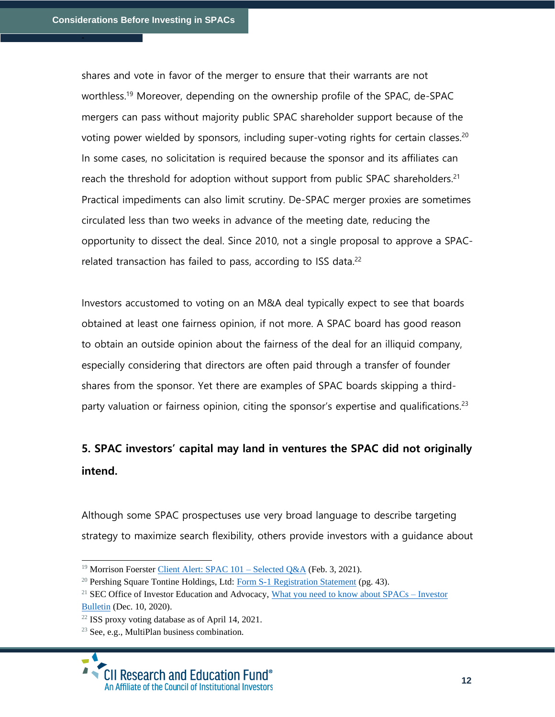shares and vote in favor of the merger to ensure that their warrants are not worthless.<sup>19</sup> Moreover, depending on the ownership profile of the SPAC, de-SPAC mergers can pass without majority public SPAC shareholder support because of the voting power wielded by sponsors, including super-voting rights for certain classes.<sup>20</sup> In some cases, no solicitation is required because the sponsor and its affiliates can reach the threshold for adoption without support from public SPAC shareholders.<sup>21</sup> Practical impediments can also limit scrutiny. De-SPAC merger proxies are sometimes circulated less than two weeks in advance of the meeting date, reducing the opportunity to dissect the deal. Since 2010, not a single proposal to approve a SPACrelated transaction has failed to pass, according to ISS data.<sup>22</sup>

Investors accustomed to voting on an M&A deal typically expect to see that boards obtained at least one fairness opinion, if not more. A SPAC board has good reason to obtain an outside opinion about the fairness of the deal for an illiquid company, especially considering that directors are often paid through a transfer of founder shares from the sponsor. Yet there are examples of SPAC boards skipping a thirdparty valuation or fairness opinion, citing the sponsor's expertise and qualifications.<sup>23</sup>

## **5. SPAC investors' capital may land in ventures the SPAC did not originally intend.**

Although some SPAC prospectuses use very broad language to describe targeting strategy to maximize search flexibility, others provide investors with a guidance about

<sup>&</sup>lt;sup>19</sup> Morrison Foerster Client Alert: SPAC  $101$  – Selected Q&A (Feb. 3, 2021).

 $20$  Pershing Square Tontine Holdings, Ltd: [Form S-1 Registration Statement](https://www.sec.gov/Archives/edgar/data/1811882/000119312520175042/d930055ds1.htm#toc930055_2) (pg. 43).

<sup>&</sup>lt;sup>21</sup> SEC Office of Investor Education and Advocacy, [What you need to know about SPACs –](https://www.sec.gov/oiea/investor-alerts-and-bulletins/what-you-need-know-about-spacs-investor-bulletin) Investor [Bulletin](https://www.sec.gov/oiea/investor-alerts-and-bulletins/what-you-need-know-about-spacs-investor-bulletin) (Dec. 10, 2020).

<sup>22</sup> ISS proxy voting database as of April 14, 2021.

<sup>23</sup> See, e.g., MultiPlan business combination.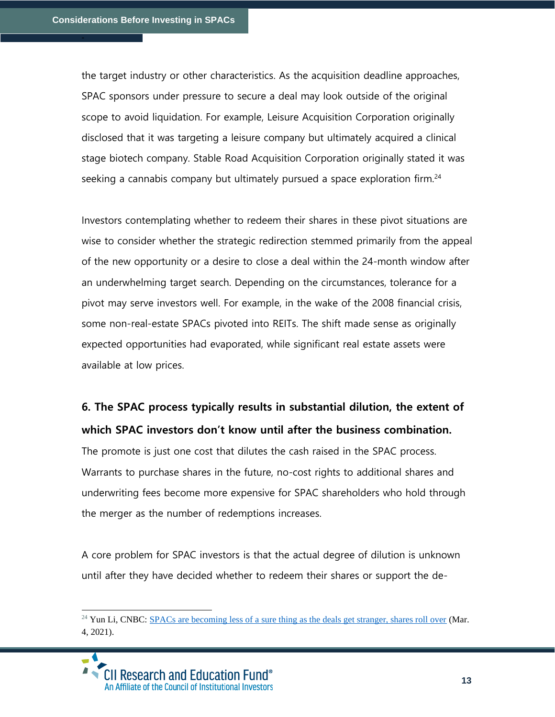the target industry or other characteristics. As the acquisition deadline approaches, SPAC sponsors under pressure to secure a deal may look outside of the original scope to avoid liquidation. For example, Leisure Acquisition Corporation originally disclosed that it was targeting a leisure company but ultimately acquired a clinical stage biotech company. Stable Road Acquisition Corporation originally stated it was seeking a cannabis company but ultimately pursued a space exploration firm.<sup>24</sup>

Investors contemplating whether to redeem their shares in these pivot situations are wise to consider whether the strategic redirection stemmed primarily from the appeal of the new opportunity or a desire to close a deal within the 24-month window after an underwhelming target search. Depending on the circumstances, tolerance for a pivot may serve investors well. For example, in the wake of the 2008 financial crisis, some non-real-estate SPACs pivoted into REITs. The shift made sense as originally expected opportunities had evaporated, while significant real estate assets were available at low prices.

### **6. The SPAC process typically results in substantial dilution, the extent of which SPAC investors don't know until after the business combination.**

The promote is just one cost that dilutes the cash raised in the SPAC process. Warrants to purchase shares in the future, no-cost rights to additional shares and underwriting fees become more expensive for SPAC shareholders who hold through the merger as the number of redemptions increases.

A core problem for SPAC investors is that the actual degree of dilution is unknown until after they have decided whether to redeem their shares or support the de-

<sup>&</sup>lt;sup>24</sup> Yun Li, CNBC: [SPACs are becoming less of a sure thing as the deals get stranger, shares roll over](https://www.cnbc.com/2021/03/04/spacs-are-becoming-less-of-a-sure-thing-as-the-deals-get-stranger-shares-roll-over.html) (Mar. 4, 2021).

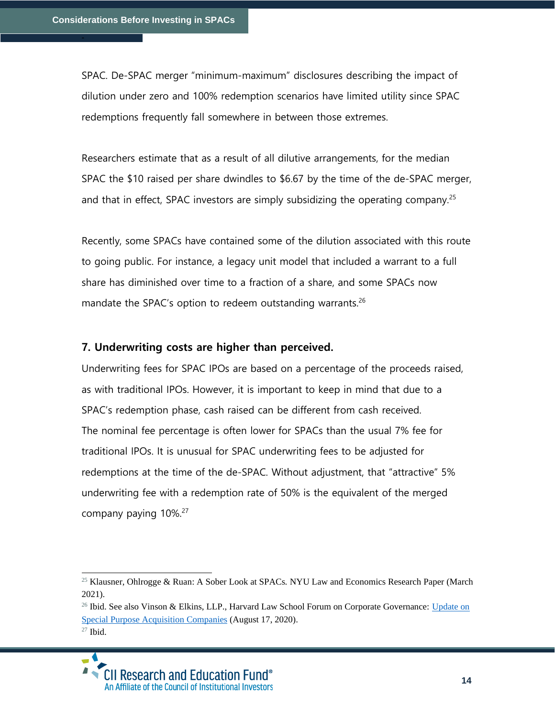SPAC. De-SPAC merger "minimum-maximum" disclosures describing the impact of dilution under zero and 100% redemption scenarios have limited utility since SPAC redemptions frequently fall somewhere in between those extremes.

Researchers estimate that as a result of all dilutive arrangements, for the median SPAC the \$10 raised per share dwindles to \$6.67 by the time of the de-SPAC merger, and that in effect, SPAC investors are simply subsidizing the operating company.<sup>25</sup>

Recently, some SPACs have contained some of the dilution associated with this route to going public. For instance, a legacy unit model that included a warrant to a full share has diminished over time to a fraction of a share, and some SPACs now mandate the SPAC's option to redeem outstanding warrants.<sup>26</sup>

#### **7. Underwriting costs are higher than perceived.**

Underwriting fees for SPAC IPOs are based on a percentage of the proceeds raised, as with traditional IPOs. However, it is important to keep in mind that due to a SPAC's redemption phase, cash raised can be different from cash received. The nominal fee percentage is often lower for SPACs than the usual 7% fee for traditional IPOs. It is unusual for SPAC underwriting fees to be adjusted for redemptions at the time of the de-SPAC. Without adjustment, that "attractive" 5% underwriting fee with a redemption rate of 50% is the equivalent of the merged company paying  $10\%$ <sup>27</sup>

<sup>25</sup> Klausner, Ohlrogge & Ruan: A Sober Look at SPACs*.* NYU Law and Economics Research Paper (March 2021).

 $^{26}$  Ibid. See also Vinson & Elkins, LLP., Harvard Law School Forum on Corporate Governance: Update on [Special Purpose Acquisition Companies](https://corpgov.law.harvard.edu/2020/08/17/update-on-special-purpose-acquisition-companies/) (August 17, 2020). <sup>27</sup> Ibid.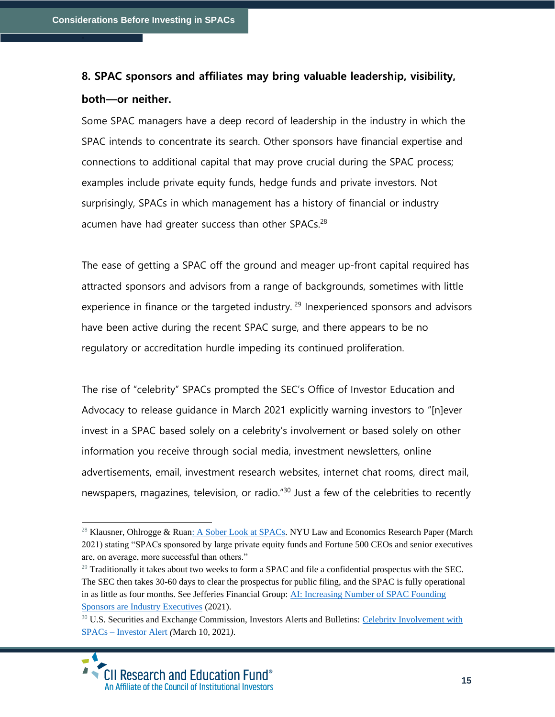### **8. SPAC sponsors and affiliates may bring valuable leadership, visibility, both—or neither.**

Some SPAC managers have a deep record of leadership in the industry in which the SPAC intends to concentrate its search. Other sponsors have financial expertise and connections to additional capital that may prove crucial during the SPAC process; examples include private equity funds, hedge funds and private investors. Not surprisingly, SPACs in which management has a history of financial or industry acumen have had greater success than other SPACs.<sup>28</sup>

The ease of getting a SPAC off the ground and meager up-front capital required has attracted sponsors and advisors from a range of backgrounds, sometimes with little experience in finance or the targeted industry.<sup>29</sup> Inexperienced sponsors and advisors have been active during the recent SPAC surge, and there appears to be no regulatory or accreditation hurdle impeding its continued proliferation.

The rise of "celebrity" SPACs prompted the SEC's Office of Investor Education and Advocacy to release guidance in March 2021 explicitly warning investors to "[n]ever invest in a SPAC based solely on a celebrity's involvement or based solely on other information you receive through social media, investment newsletters, online advertisements, email, investment research websites, internet chat rooms, direct mail, newspapers, magazines, television, or radio.<sup>"30</sup> Just a few of the celebrities to recently

<sup>&</sup>lt;sup>28</sup> Klausner, Ohlrogge & Rua[n: A Sober Look at SPACs.](https://poseidon01.ssrn.com/delivery.php?ID=068096001126025099065084121116115117122011005035010028104091098024123016074007070091031007000042033007027068114097122004118079049007088022007108087102118121091109105024020000022074021116001064094095114095072006000025119096101089080120111071110112073091&EXT=pdf&INDEX=TRUE) NYU Law and Economics Research Paper (March 2021) stating "SPACs sponsored by large private equity funds and Fortune 500 CEOs and senior executives are, on average, more successful than others."

 $^{29}$  Traditionally it takes about two weeks to form a SPAC and file a confidential prospectus with the SEC. The SEC then takes 30-60 days to clear the prospectus for public filing, and the SPAC is fully operational in as little as four months. See Jefferies Financial Group: [AI: Increasing Number of SPAC Founding](https://www.jefferies.com/OurFirm/2/1616)  [Sponsors are Industry Executives](https://www.jefferies.com/OurFirm/2/1616) (2021).

<sup>&</sup>lt;sup>30</sup> U.S. Securities and Exchange Commission, Investors Alerts and Bulletins: Celebrity Involvement with SPACs – [Investor Alert](https://www.sec.gov/oiea/investor-alerts-and-bulletins/celebrity-involvement-spacs-investor-alert) *(*March 10, 2021*).*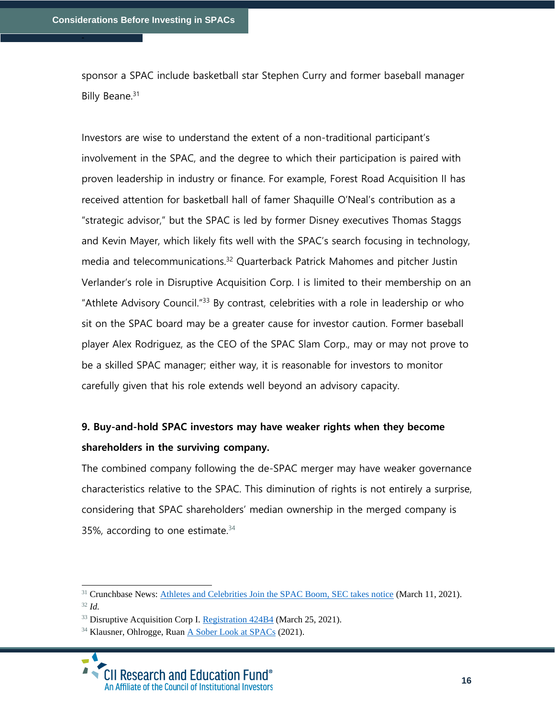sponsor a SPAC include basketball star Stephen Curry and former baseball manager Billy Beane.<sup>31</sup>

Investors are wise to understand the extent of a non-traditional participant's involvement in the SPAC, and the degree to which their participation is paired with proven leadership in industry or finance. For example, Forest Road Acquisition II has received attention for basketball hall of famer Shaquille O'Neal's contribution as a "strategic advisor," but the SPAC is led by former Disney executives Thomas Staggs and Kevin Mayer, which likely fits well with the SPAC's search focusing in technology, media and telecommunications.<sup>32</sup> Quarterback Patrick Mahomes and pitcher Justin Verlander's role in Disruptive Acquisition Corp. I is limited to their membership on an "Athlete Advisory Council."<sup>33</sup> By contrast, celebrities with a role in leadership or who sit on the SPAC board may be a greater cause for investor caution. Former baseball player Alex Rodriguez, as the CEO of the SPAC Slam Corp., may or may not prove to be a skilled SPAC manager; either way, it is reasonable for investors to monitor carefully given that his role extends well beyond an advisory capacity.

### **9. Buy-and-hold SPAC investors may have weaker rights when they become shareholders in the surviving company.**

The combined company following the de-SPAC merger may have weaker governance characteristics relative to the SPAC. This diminution of rights is not entirely a surprise, considering that SPAC shareholders' median ownership in the merged company is 35%, according to one estimate. $34$ 

<sup>32</sup> *Id.* 

<sup>&</sup>lt;sup>31</sup> Crunchbase News: [Athletes and Celebrities Join the SPAC Boom, SEC takes notice](https://news.crunchbase.com/news/athletes-and-celebrities-join-the-spac-boom-sec-takes-notice/) (March 11, 2021).

<sup>&</sup>lt;sup>33</sup> Disruptive Acquisition Corp I[. Registration 424B4](https://www.sec.gov/Archives/edgar/data/0001838831/000095010321004579/dp148327_424b4.htm) (March 25, 2021).

<sup>&</sup>lt;sup>34</sup> Klausner, Ohlrogge, Ruan [A Sober Look at SPACs](https://papers.ssrn.com/sol3/papers.cfm?abstract_id=3720919) (2021).